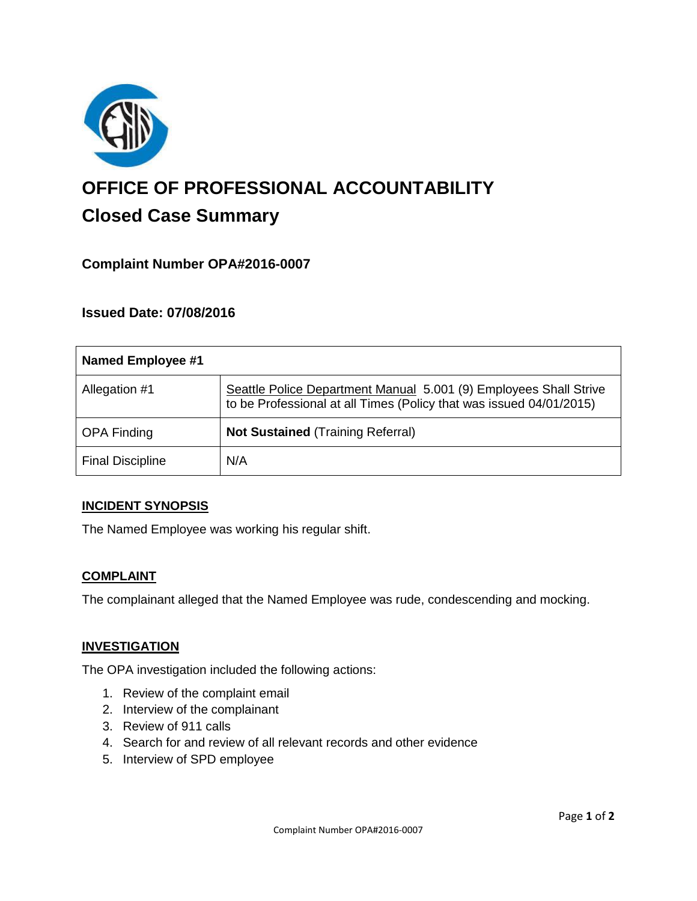

# **OFFICE OF PROFESSIONAL ACCOUNTABILITY Closed Case Summary**

# **Complaint Number OPA#2016-0007**

## **Issued Date: 07/08/2016**

| <b>Named Employee #1</b> |                                                                                                                                          |
|--------------------------|------------------------------------------------------------------------------------------------------------------------------------------|
| Allegation #1            | Seattle Police Department Manual 5.001 (9) Employees Shall Strive<br>to be Professional at all Times (Policy that was issued 04/01/2015) |
| <b>OPA Finding</b>       | <b>Not Sustained (Training Referral)</b>                                                                                                 |
| <b>Final Discipline</b>  | N/A                                                                                                                                      |

## **INCIDENT SYNOPSIS**

The Named Employee was working his regular shift.

## **COMPLAINT**

The complainant alleged that the Named Employee was rude, condescending and mocking.

#### **INVESTIGATION**

The OPA investigation included the following actions:

- 1. Review of the complaint email
- 2. Interview of the complainant
- 3. Review of 911 calls
- 4. Search for and review of all relevant records and other evidence
- 5. Interview of SPD employee